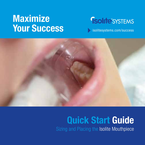# Maximize **Your Success**

# **Solite** SYSTEMS

[isolitesystems.com/success](https://www.isolitesystems.com/success)



#### Quick Start Guide Sizing and Placing the Isolite Mouthpiece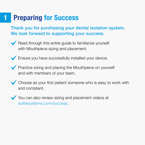# **1 Preparing for Success**

Thank you for purchasing your dental isolation system. We look forward to supporting your success.





- **Practice sizing and placing the Mouthpeice on yourself** and with members of your team.
- Choose as your first patient someone who is easy to work with and compliant.

You can also review sizing and placement videos at isolitesystems.com/success.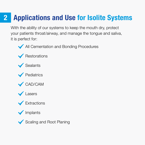# 2 **Applications and Use for Isolite Systems**

With the ability of our systems to keep the mouth dry, protect your patients throat/airway, and manage the tongue and saliva, it is perfect for:



All Cementation and Bonding Procedures





**V** Pediatrics









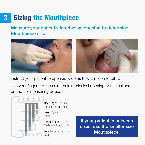# 3 Sizing the Mouthpiece

Measure your patient's interincisal opening to determine Mouthpiece size.



Instruct your patient to open as wide as they can comfortably.

Use your fingers to measure their interincisal opening or use calipers or another measuring device.



One Finger < 30 mm Pediatric or Extra Small

Two Fingers 30 mm Small

Three Fingers 30-45 mm Medium or Medium DV

Four Fingers > 45 mm Large

If your patient is between sizes, use the smaller size Mouthpiece.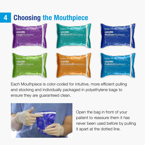

Each Mouthpiece is color-coded for intuitive, more efficient pulling and stocking and individually packaged in polyethylene bags to ensure they are guaranteed clean.



Open the bag in front of your patient to reassure them it has never been used before by pulling it apart at the dotted line.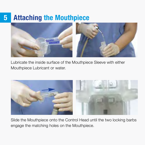### 5 Attaching the Mouthpiece



Lubricate the inside surface of the Mouthpiece Sleeve with either Mouthpiece Lubricant or water.



Slide the Mouthpiece onto the Control Head until the two locking barbs engage the matching holes on the Mouthpiece.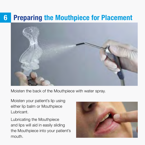### 6 Preparing the Mouthpiece for Placement



Moisten the back of the Mouthpiece with water spray.

Moisten your patient's lip using either lip balm or Mouthpiece Lubricant.

Lubricating the Mouthpiece and lips will aid in easily sliding the Mouthpiece into your patient's mouth.

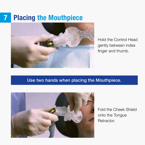## **7 Placing the Mouthpiece**



Hold the Control Head gently between index finger and thumb.

#### Use two hands when placing the Mouthpiece.



Fold the Cheek Shield onto the Tongue **Retractor**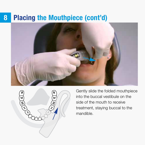### 8 Placing the Mouthpiece (cont'd)





Gently slide the folded mouthpiece into the buccal vestibule on the side of the mouth to receive treatment, staying buccal to the mandible.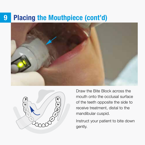### 9 Placing the Mouthpiece (cont'd)





Draw the Bite Block across the mouth onto the occlusal surface of the teeth opposite the side to receive treatment, distal to the mandibular cuspid.

Instruct your patient to bite down gently.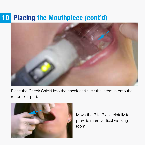### 10 Placing the Mouthpiece (cont'd)



Place the Cheek Shield into the cheek and tuck the Isthmus onto the retromolar pad.



Move the Bite Block distally to provide more vertical working room.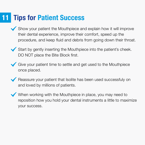### **Tips for Patient Success**

- . Show your patient the Mouthpiece and explain how it will improve their dental experience, improve their comfort, speed up the procedure, and keep fluid and debris from going down their throat.
- Start by gently inserting the Mouthpiece into the patient's cheek. DO NOT place the Bite Block first.
- . Give your patient time to settle and get used to the Mouthpiece once placed.
- Reassure your patient that Isolite has been used successfuly on and loved by millions of patients.
- When working with the Mouthpiece in place, you may need to reposition how you hold your dental instruments a little to maximize your success.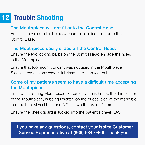# 12 Trouble Shooting

#### The Mouthpiece will not fit onto the Control Head.

Ensure the vacuum light pipe/vacuum pipe is installed onto the Control Base.

#### The Mouthpiece easily slides off the Control Head.

Ensure the two locking barbs on the Control Head engage the holes in the Mouthpiece.

Ensure that too much lubricant was not used in the Mouthpiece Sleeve—remove any excess lubricant and then reattach.

#### Some of my patients seem to have a difficult time accepting the Mouthpiece.

Ensure that during Mouthpiece placement, the isthmus, the thin section of the Mouthpiece, is being inserted on the buccal side of the mandible into the buccal vestibule and NOT down the patient's throat.

Ensure the cheek guard is tucked into the patient's cheek LAST.

#### If you have any questions, contact your Isolite Customer Service Representative at (866) 584-0469. Thank you.